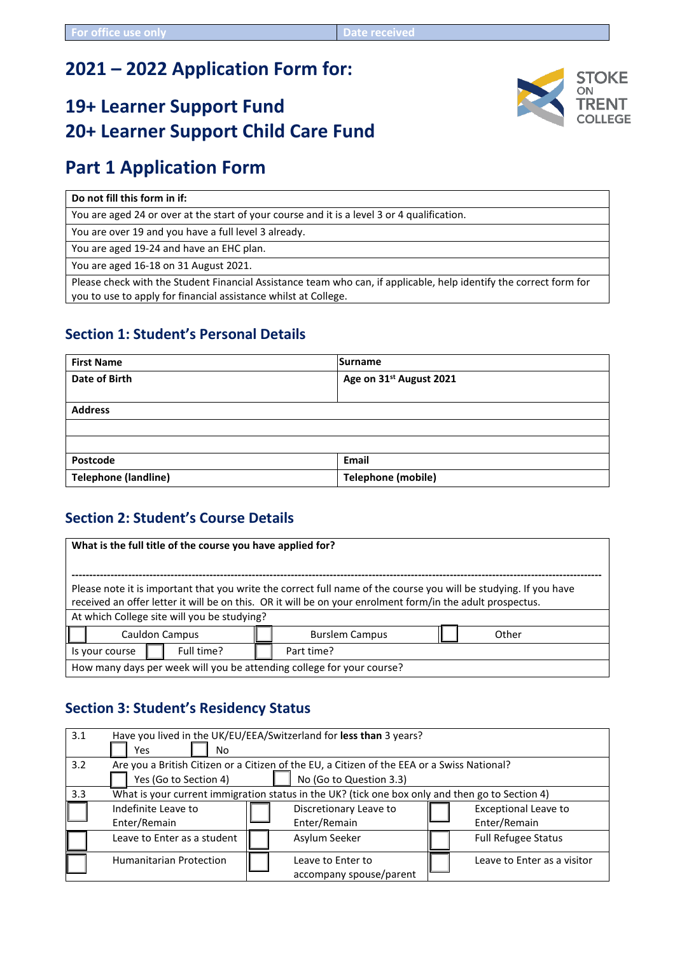# **2021 – 2022 Application Form for:**

# **19+ Learner Support Fund 20+ Learner Support Child Care Fund**

# **Part 1 Application Form**

**Do not fill this form in if:**

You are aged 24 or over at the start of your course and it is a level 3 or 4 qualification.

You are over 19 and you have a full level 3 already.

You are aged 19-24 and have an EHC plan.

You are aged 16-18 on 31 August 2021.

Please check with the Student Financial Assistance team who can, if applicable, help identify the correct form for you to use to apply for financial assistance whilst at College.

## **Section 1: Student's Personal Details**

| <b>First Name</b>           | Surname                             |  |
|-----------------------------|-------------------------------------|--|
| Date of Birth               | Age on 31 <sup>st</sup> August 2021 |  |
|                             |                                     |  |
| <b>Address</b>              |                                     |  |
|                             |                                     |  |
|                             |                                     |  |
| Postcode                    | <b>Email</b>                        |  |
| <b>Telephone (landline)</b> | <b>Telephone (mobile)</b>           |  |

## **Section 2: Student's Course Details**

| What is the full title of the course you have applied for?                                                                                                                                                                                                                    |  |  |  |  |
|-------------------------------------------------------------------------------------------------------------------------------------------------------------------------------------------------------------------------------------------------------------------------------|--|--|--|--|
| Please note it is important that you write the correct full name of the course you will be studying. If you have<br>received an offer letter it will be on this. OR it will be on your enrolment form/in the adult prospectus.<br>At which College site will you be studying? |  |  |  |  |
| Cauldon Campus<br>Other<br><b>Burslem Campus</b>                                                                                                                                                                                                                              |  |  |  |  |
| Full time?<br>Part time?<br>Is your course                                                                                                                                                                                                                                    |  |  |  |  |
| How many days per week will you be attending college for your course?                                                                                                                                                                                                         |  |  |  |  |

## **Section 3: Student's Residency Status**

| 3.1 | Have you lived in the UK/EU/EEA/Switzerland for less than 3 years?                              |                                                                                             |                             |  |
|-----|-------------------------------------------------------------------------------------------------|---------------------------------------------------------------------------------------------|-----------------------------|--|
|     | Yes<br>No.                                                                                      |                                                                                             |                             |  |
| 3.2 |                                                                                                 | Are you a British Citizen or a Citizen of the EU, a Citizen of the EEA or a Swiss National? |                             |  |
|     | Yes (Go to Section 4)<br>No (Go to Question 3.3)                                                |                                                                                             |                             |  |
| 3.3 | What is your current immigration status in the UK? (tick one box only and then go to Section 4) |                                                                                             |                             |  |
|     | Indefinite Leave to                                                                             | Discretionary Leave to                                                                      | <b>Exceptional Leave to</b> |  |
|     | Enter/Remain                                                                                    | Enter/Remain                                                                                | Enter/Remain                |  |
|     | Asylum Seeker<br><b>Full Refugee Status</b><br>Leave to Enter as a student                      |                                                                                             |                             |  |
|     | <b>Humanitarian Protection</b>                                                                  | Leave to Enter to                                                                           | Leave to Enter as a visitor |  |
|     |                                                                                                 | accompany spouse/parent                                                                     |                             |  |

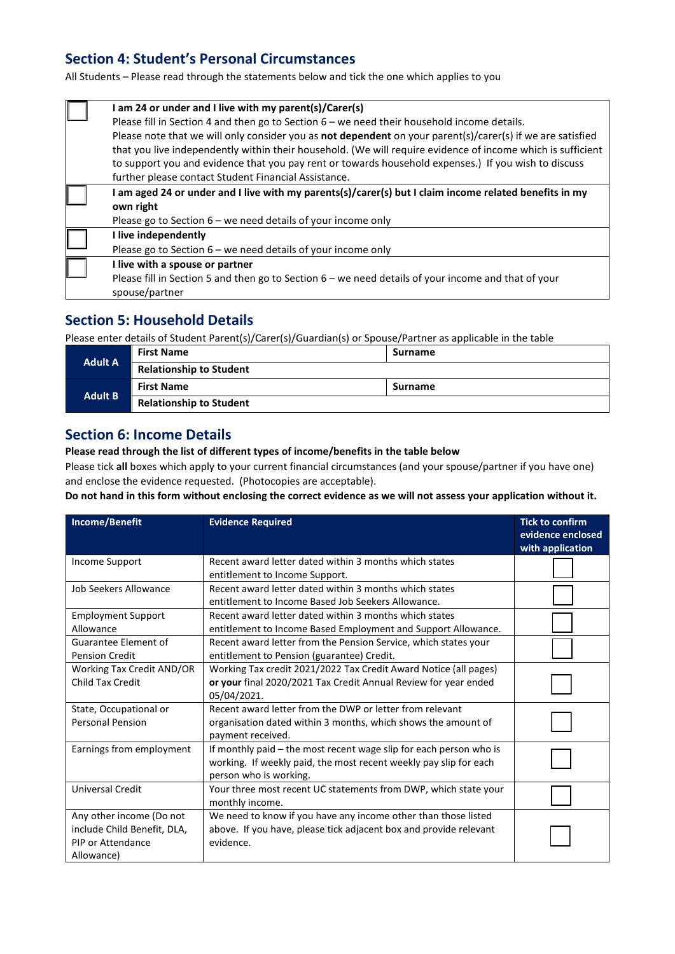## **Section 4: Student's Personal Circumstances**

All Students – Please read through the statements below and tick the one which applies to you

| I am 24 or under and I live with my parent(s)/Carer(s)                                                            |
|-------------------------------------------------------------------------------------------------------------------|
| Please fill in Section 4 and then go to Section $6$ – we need their household income details.                     |
| Please note that we will only consider you as <b>not dependent</b> on your parent(s)/carer(s) if we are satisfied |
| that you live independently within their household. (We will require evidence of income which is sufficient       |
| to support you and evidence that you pay rent or towards household expenses.) If you wish to discuss              |
| further please contact Student Financial Assistance.                                                              |
| I am aged 24 or under and I live with my parents(s)/carer(s) but I claim income related benefits in my            |
| own right                                                                                                         |
| Please go to Section $6$ – we need details of your income only                                                    |
| I live independently                                                                                              |
| Please go to Section 6 - we need details of your income only                                                      |
| I live with a spouse or partner                                                                                   |
| Please fill in Section 5 and then go to Section 6 – we need details of your income and that of your               |
| spouse/partner                                                                                                    |

## **Section 5: Household Details**

Please enter details of Student Parent(s)/Carer(s)/Guardian(s) or Spouse/Partner as applicable in the table

| <b>Adult A</b> | <b>First Name</b>              | <b>Surname</b> |  |
|----------------|--------------------------------|----------------|--|
|                | <b>Relationship to Student</b> |                |  |
|                | <b>First Name</b>              | <b>Surname</b> |  |
| <b>Adult B</b> | <b>Relationship to Student</b> |                |  |

### **Section 6: Income Details**

#### **Please read through the list of different types of income/benefits in the table below**

Please tick **all** boxes which apply to your current financial circumstances (and your spouse/partner if you have one) and enclose the evidence requested. (Photocopies are acceptable).

**Do not hand in this form without enclosing the correct evidence as we will not assess your application without it.**

| Income/Benefit                                                                             | <b>Evidence Required</b>                                                                                                                                          | <b>Tick to confirm</b><br>evidence enclosed<br>with application |
|--------------------------------------------------------------------------------------------|-------------------------------------------------------------------------------------------------------------------------------------------------------------------|-----------------------------------------------------------------|
| Income Support                                                                             | Recent award letter dated within 3 months which states<br>entitlement to Income Support.                                                                          |                                                                 |
| Job Seekers Allowance                                                                      | Recent award letter dated within 3 months which states<br>entitlement to Income Based Job Seekers Allowance.                                                      |                                                                 |
| <b>Employment Support</b><br>Allowance                                                     | Recent award letter dated within 3 months which states<br>entitlement to Income Based Employment and Support Allowance.                                           |                                                                 |
| Guarantee Element of<br><b>Pension Credit</b>                                              | Recent award letter from the Pension Service, which states your<br>entitlement to Pension (guarantee) Credit.                                                     |                                                                 |
| <b>Working Tax Credit AND/OR</b><br>Child Tax Credit                                       | Working Tax credit 2021/2022 Tax Credit Award Notice (all pages)<br>or your final 2020/2021 Tax Credit Annual Review for year ended<br>05/04/2021.                |                                                                 |
| State, Occupational or<br><b>Personal Pension</b>                                          | Recent award letter from the DWP or letter from relevant<br>organisation dated within 3 months, which shows the amount of<br>payment received.                    |                                                                 |
| Earnings from employment                                                                   | If monthly paid - the most recent wage slip for each person who is<br>working. If weekly paid, the most recent weekly pay slip for each<br>person who is working. |                                                                 |
| <b>Universal Credit</b>                                                                    | Your three most recent UC statements from DWP, which state your<br>monthly income.                                                                                |                                                                 |
| Any other income (Do not<br>include Child Benefit, DLA,<br>PIP or Attendance<br>Allowance) | We need to know if you have any income other than those listed<br>above. If you have, please tick adjacent box and provide relevant<br>evidence.                  |                                                                 |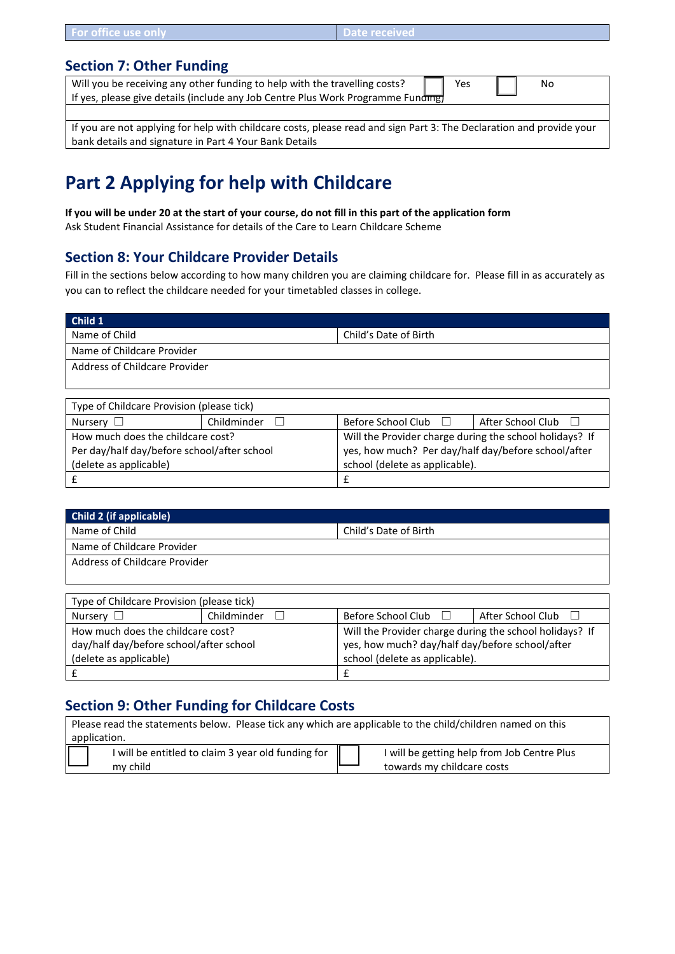| <b>N</b> Date received<br>For office use only |  |
|-----------------------------------------------|--|
|-----------------------------------------------|--|

### **Section 7: Other Funding**

| Will you be receiving any other funding to help with the travelling costs?       | Yes | Nο |  |
|----------------------------------------------------------------------------------|-----|----|--|
| If yes, please give details (include any Job Centre Plus Work Programme Funding) |     |    |  |
|                                                                                  |     |    |  |

If you are not applying for help with childcare costs, please read and sign Part 3: The Declaration and provide your bank details and signature in Part 4 Your Bank Details

# **Part 2 Applying for help with Childcare**

**If you will be under 20 at the start of your course, do not fill in this part of the application form** Ask Student Financial Assistance for details of the Care to Learn Childcare Scheme

## **Section 8: Your Childcare Provider Details**

Fill in the sections below according to how many children you are claiming childcare for. Please fill in as accurately as you can to reflect the childcare needed for your timetabled classes in college.

| Child 1                                                  |             |                                                         |                                                     |  |  |
|----------------------------------------------------------|-------------|---------------------------------------------------------|-----------------------------------------------------|--|--|
| Name of Child                                            |             | Child's Date of Birth                                   |                                                     |  |  |
| Name of Childcare Provider                               |             |                                                         |                                                     |  |  |
| Address of Childcare Provider                            |             |                                                         |                                                     |  |  |
|                                                          |             |                                                         |                                                     |  |  |
|                                                          |             |                                                         |                                                     |  |  |
| Type of Childcare Provision (please tick)                |             |                                                         |                                                     |  |  |
| Nursery $\Box$                                           | Childminder | Before School Club $\Box$<br>After School Club          |                                                     |  |  |
| How much does the childcare cost?                        |             | Will the Provider charge during the school holidays? If |                                                     |  |  |
| Per day/half day/before school/after school              |             |                                                         | yes, how much? Per day/half day/before school/after |  |  |
| school (delete as applicable).<br>(delete as applicable) |             |                                                         |                                                     |  |  |
|                                                          |             | £                                                       |                                                     |  |  |

| <b>Child 2 (if applicable)</b> |                       |
|--------------------------------|-----------------------|
| Name of Child                  | Child's Date of Birth |
| Name of Childcare Provider     |                       |
| Address of Childcare Provider  |                       |
|                                |                       |

| Type of Childcare Provision (please tick) |             |                                                         |                   |  |
|-------------------------------------------|-------------|---------------------------------------------------------|-------------------|--|
| Nursery $\square$                         | Childminder | Before School Club $\Box$                               | After School Club |  |
| How much does the childcare cost?         |             | Will the Provider charge during the school holidays? If |                   |  |
| day/half day/before school/after school   |             | yes, how much? day/half day/before school/after         |                   |  |
| (delete as applicable)                    |             | school (delete as applicable).                          |                   |  |
|                                           |             |                                                         |                   |  |

## **Section 9: Other Funding for Childcare Costs**

| Please read the statements below. Please tick any which are applicable to the child/children named on this |          |  |                            |  |
|------------------------------------------------------------------------------------------------------------|----------|--|----------------------------|--|
| application.                                                                                               |          |  |                            |  |
| I will be entitled to claim 3 year old funding for<br>I will be getting help from Job Centre Plus          |          |  |                            |  |
|                                                                                                            | my child |  | towards my childcare costs |  |